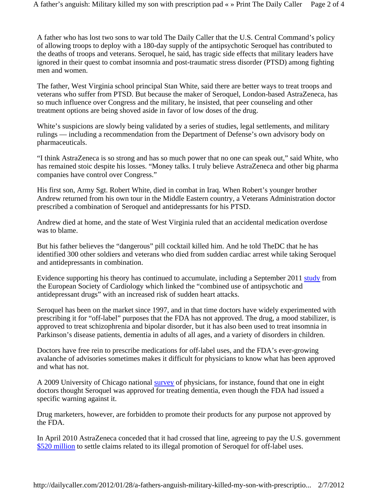A father who has lost two sons to war told The Daily Caller that the U.S. Central Command's policy of allowing troops to deploy with a 180-day supply of the antipsychotic Seroquel has contributed to the deaths of troops and veterans. Seroquel, he said, has tragic side effects that military leaders have ignored in their quest to combat insomnia and post-traumatic stress disorder (PTSD) among fighting men and women.

The father, West Virginia school principal Stan White, said there are better ways to treat troops and veterans who suffer from PTSD. But because the maker of Seroquel, London-based AstraZeneca, has so much influence over Congress and the military, he insisted, that peer counseling and other treatment options are being shoved aside in favor of low doses of the drug.

White's suspicions are slowly being validated by a series of studies, legal settlements, and military rulings — including a recommendation from the Department of Defense's own advisory body on pharmaceuticals.

"I think AstraZeneca is so strong and has so much power that no one can speak out," said White, who has remained stoic despite his losses. "Money talks. I truly believe AstraZeneca and other big pharma companies have control over Congress."

His first son, Army Sgt. Robert White, died in combat in Iraq. When Robert's younger brother Andrew returned from his own tour in the Middle Eastern country, a Veterans Administration doctor prescribed a combination of Seroquel and antidepressants for his PTSD.

Andrew died at home, and the state of West Virginia ruled that an accidental medication overdose was to blame.

But his father believes the "dangerous" pill cocktail killed him. And he told TheDC that he has identified 300 other soldiers and veterans who died from sudden cardiac arrest while taking Seroquel and antidepressants in combination.

Evidence supporting his theory has continued to accumulate, including a September 2011 study from the European Society of Cardiology which linked the "combined use of antipsychotic and antidepressant drugs" with an increased risk of sudden heart attacks.

Seroquel has been on the market since 1997, and in that time doctors have widely experimented with prescribing it for "off-label" purposes that the FDA has not approved. The drug, a mood stabilizer, is approved to treat schizophrenia and bipolar disorder, but it has also been used to treat insomnia in Parkinson's disease patients, dementia in adults of all ages, and a variety of disorders in children.

Doctors have free rein to prescribe medications for off-label uses, and the FDA's ever-growing avalanche of advisories sometimes makes it difficult for physicians to know what has been approved and what has not.

A 2009 University of Chicago national survey of physicians, for instance, found that one in eight doctors thought Seroquel was approved for treating dementia, even though the FDA had issued a specific warning against it.

Drug marketers, however, are forbidden to promote their products for any purpose not approved by the FDA.

In April 2010 AstraZeneca conceded that it had crossed that line, agreeing to pay the U.S. government \$520 million to settle claims related to its illegal promotion of Seroquel for off-label uses.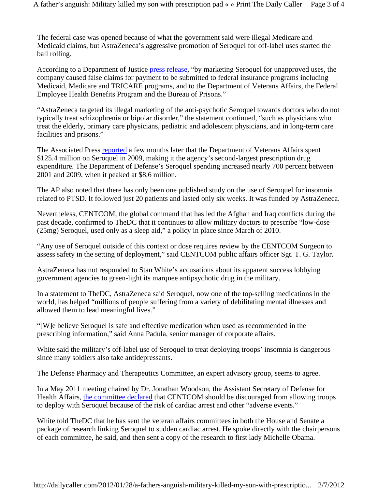The federal case was opened because of what the government said were illegal Medicare and Medicaid claims, but AstraZeneca's aggressive promotion of Seroquel for off-label uses started the ball rolling.

According to a Department of Justice press release, "by marketing Seroquel for unapproved uses, the company caused false claims for payment to be submitted to federal insurance programs including Medicaid, Medicare and TRICARE programs, and to the Department of Veterans Affairs, the Federal Employee Health Benefits Program and the Bureau of Prisons."

"AstraZeneca targeted its illegal marketing of the anti-psychotic Seroquel towards doctors who do not typically treat schizophrenia or bipolar disorder," the statement continued, "such as physicians who treat the elderly, primary care physicians, pediatric and adolescent physicians, and in long-term care facilities and prisons."

The Associated Press reported a few months later that the Department of Veterans Affairs spent \$125.4 million on Seroquel in 2009, making it the agency's second-largest prescription drug expenditure. The Department of Defense's Seroquel spending increased nearly 700 percent between 2001 and 2009, when it peaked at \$8.6 million.

The AP also noted that there has only been one published study on the use of Seroquel for insomnia related to PTSD. It followed just 20 patients and lasted only six weeks. It was funded by AstraZeneca.

Nevertheless, CENTCOM, the global command that has led the Afghan and Iraq conflicts during the past decade, confirmed to TheDC that it continues to allow military doctors to prescribe "low-dose (25mg) Seroquel, used only as a sleep aid," a policy in place since March of 2010.

"Any use of Seroquel outside of this context or dose requires review by the CENTCOM Surgeon to assess safety in the setting of deployment," said CENTCOM public affairs officer Sgt. T. G. Taylor.

AstraZeneca has not responded to Stan White's accusations about its apparent success lobbying government agencies to green-light its marquee antipsychotic drug in the military.

In a statement to TheDC, AstraZeneca said Seroquel, now one of the top-selling medications in the world, has helped "millions of people suffering from a variety of debilitating mental illnesses and allowed them to lead meaningful lives."

"[W]e believe Seroquel is safe and effective medication when used as recommended in the prescribing information," said Anna Padula, senior manager of corporate affairs.

White said the military's off-label use of Seroquel to treat deploying troops' insomnia is dangerous since many soldiers also take antidepressants.

The Defense Pharmacy and Therapeutics Committee, an expert advisory group, seems to agree.

In a May 2011 meeting chaired by Dr. Jonathan Woodson, the Assistant Secretary of Defense for Health Affairs, the committee declared that CENTCOM should be discouraged from allowing troops to deploy with Seroquel because of the risk of cardiac arrest and other "adverse events."

White told TheDC that he has sent the veteran affairs committees in both the House and Senate a package of research linking Seroquel to sudden cardiac arrest. He spoke directly with the chairpersons of each committee, he said, and then sent a copy of the research to first lady Michelle Obama.